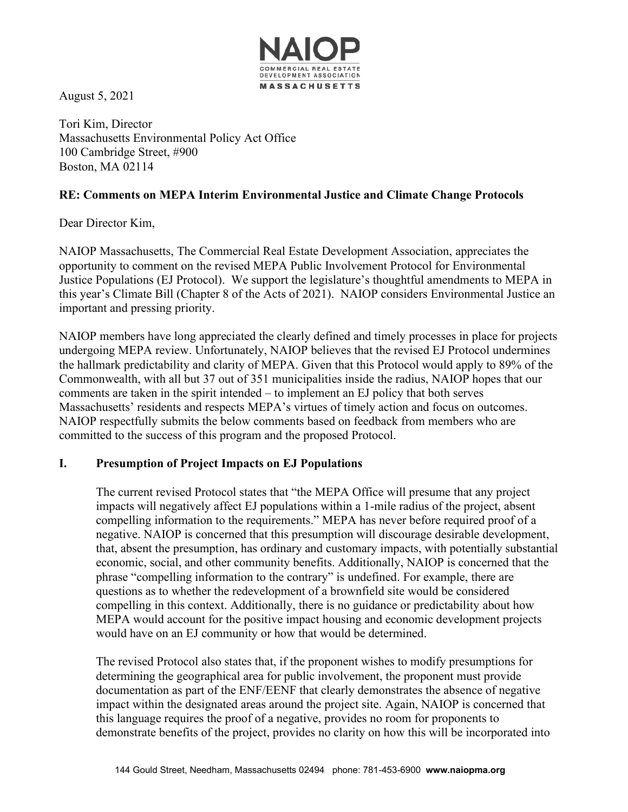

August 5, 2021

Tori Kim, Director Massachusetts Environmental Policy Act Office 100 Cambridge Street, #900 Boston, MA 02114

## **RE: Comments on MEPA Interim Environmental Justice and Climate Change Protocols**

Dear Director Kim,

NAIOP Massachusetts, The Commercial Real Estate Development Association, appreciates the opportunity to comment on the revised MEPA Public Involvement Protocol for Environmental Justice Populations (EJ Protocol). We support the legislature's thoughtful amendments to MEPA in this year's Climate Bill (Chapter 8 of the Acts of 2021). NAIOP considers Environmental Justice an important and pressing priority.

NAIOP members have long appreciated the clearly defined and timely processes in place for projects undergoing MEPA review. Unfortunately, NAIOP believes that the revised EJ Protocol undermines the hallmark predictability and clarity of MEPA. Given that this Protocol would apply to 89% of the Commonwealth, with all but 37 out of 351 municipalities inside the radius, NAIOP hopes that our comments are taken in the spirit intended – to implement an EJ policy that both serves Massachusetts' residents and respects MEPA's virtues of timely action and focus on outcomes. NAIOP respectfully submits the below comments based on feedback from members who are committed to the success of this program and the proposed Protocol.

# **I. Presumption of Project Impacts on EJ Populations**

The current revised Protocol states that "the MEPA Office will presume that any project impacts will negatively affect EJ populations within a 1-mile radius of the project, absent compelling information to the requirements." MEPA has never before required proof of a negative. NAIOP is concerned that this presumption will discourage desirable development, that, absent the presumption, has ordinary and customary impacts, with potentially substantial economic, social, and other community benefits. Additionally, NAIOP is concerned that the phrase "compelling information to the contrary" is undefined. For example, there are questions as to whether the redevelopment of a brownfield site would be considered compelling in this context. Additionally, there is no guidance or predictability about how MEPA would account for the positive impact housing and economic development projects would have on an EJ community or how that would be determined.

The revised Protocol also states that, if the proponent wishes to modify presumptions for determining the geographical area for public involvement, the proponent must provide documentation as part of the ENF/EENF that clearly demonstrates the absence of negative impact within the designated areas around the project site. Again, NAIOP is concerned that this language requires the proof of a negative, provides no room for proponents to demonstrate benefits of the project, provides no clarity on how this will be incorporated into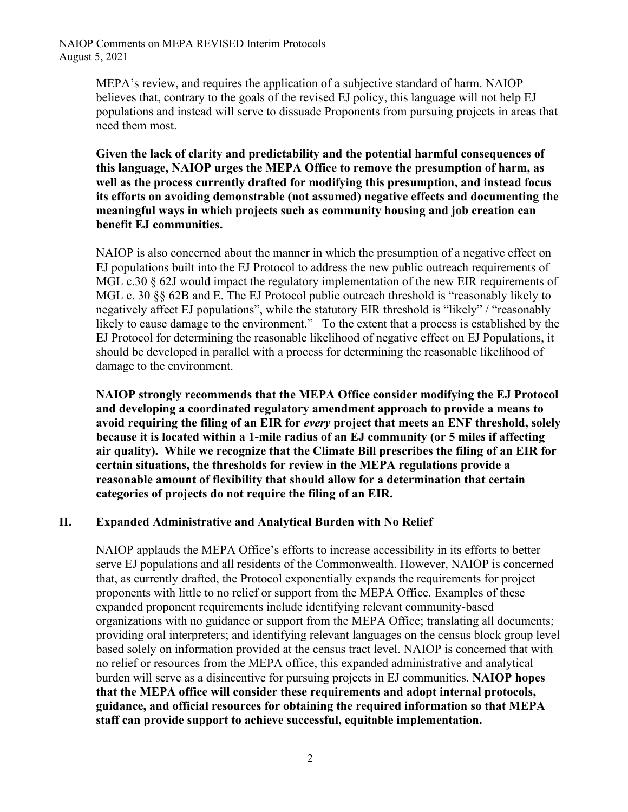MEPA's review, and requires the application of a subjective standard of harm. NAIOP believes that, contrary to the goals of the revised EJ policy, this language will not help EJ populations and instead will serve to dissuade Proponents from pursuing projects in areas that need them most.

**Given the lack of clarity and predictability and the potential harmful consequences of this language, NAIOP urges the MEPA Office to remove the presumption of harm, as well as the process currently drafted for modifying this presumption, and instead focus its efforts on avoiding demonstrable (not assumed) negative effects and documenting the meaningful ways in which projects such as community housing and job creation can benefit EJ communities.**

NAIOP is also concerned about the manner in which the presumption of a negative effect on EJ populations built into the EJ Protocol to address the new public outreach requirements of MGL c.30 § 62J would impact the regulatory implementation of the new EIR requirements of MGL c. 30 §§ 62B and E. The EJ Protocol public outreach threshold is "reasonably likely to negatively affect EJ populations", while the statutory EIR threshold is "likely" / "reasonably likely to cause damage to the environment." To the extent that a process is established by the EJ Protocol for determining the reasonable likelihood of negative effect on EJ Populations, it should be developed in parallel with a process for determining the reasonable likelihood of damage to the environment.

**NAIOP strongly recommends that the MEPA Office consider modifying the EJ Protocol and developing a coordinated regulatory amendment approach to provide a means to avoid requiring the filing of an EIR for** *every* **project that meets an ENF threshold, solely because it is located within a 1-mile radius of an EJ community (or 5 miles if affecting air quality). While we recognize that the Climate Bill prescribes the filing of an EIR for certain situations, the thresholds for review in the MEPA regulations provide a reasonable amount of flexibility that should allow for a determination that certain categories of projects do not require the filing of an EIR.**

#### **II. Expanded Administrative and Analytical Burden with No Relief**

NAIOP applauds the MEPA Office's efforts to increase accessibility in its efforts to better serve EJ populations and all residents of the Commonwealth. However, NAIOP is concerned that, as currently drafted, the Protocol exponentially expands the requirements for project proponents with little to no relief or support from the MEPA Office. Examples of these expanded proponent requirements include identifying relevant community-based organizations with no guidance or support from the MEPA Office; translating all documents; providing oral interpreters; and identifying relevant languages on the census block group level based solely on information provided at the census tract level. NAIOP is concerned that with no relief or resources from the MEPA office, this expanded administrative and analytical burden will serve as a disincentive for pursuing projects in EJ communities. **NAIOP hopes that the MEPA office will consider these requirements and adopt internal protocols, guidance, and official resources for obtaining the required information so that MEPA staff can provide support to achieve successful, equitable implementation.**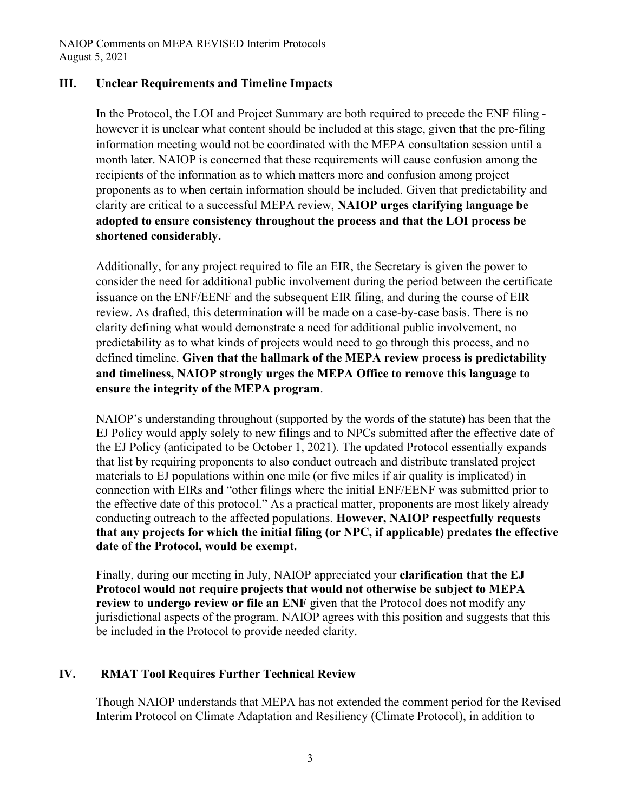NAIOP Comments on MEPA REVISED Interim Protocols August 5, 2021

#### **III. Unclear Requirements and Timeline Impacts**

In the Protocol, the LOI and Project Summary are both required to precede the ENF filing however it is unclear what content should be included at this stage, given that the pre-filing information meeting would not be coordinated with the MEPA consultation session until a month later. NAIOP is concerned that these requirements will cause confusion among the recipients of the information as to which matters more and confusion among project proponents as to when certain information should be included. Given that predictability and clarity are critical to a successful MEPA review, **NAIOP urges clarifying language be adopted to ensure consistency throughout the process and that the LOI process be shortened considerably.**

Additionally, for any project required to file an EIR, the Secretary is given the power to consider the need for additional public involvement during the period between the certificate issuance on the ENF/EENF and the subsequent EIR filing, and during the course of EIR review. As drafted, this determination will be made on a case-by-case basis. There is no clarity defining what would demonstrate a need for additional public involvement, no predictability as to what kinds of projects would need to go through this process, and no defined timeline. **Given that the hallmark of the MEPA review process is predictability and timeliness, NAIOP strongly urges the MEPA Office to remove this language to ensure the integrity of the MEPA program**.

NAIOP's understanding throughout (supported by the words of the statute) has been that the EJ Policy would apply solely to new filings and to NPCs submitted after the effective date of the EJ Policy (anticipated to be October 1, 2021). The updated Protocol essentially expands that list by requiring proponents to also conduct outreach and distribute translated project materials to EJ populations within one mile (or five miles if air quality is implicated) in connection with EIRs and "other filings where the initial ENF/EENF was submitted prior to the effective date of this protocol." As a practical matter, proponents are most likely already conducting outreach to the affected populations. **However, NAIOP respectfully requests that any projects for which the initial filing (or NPC, if applicable) predates the effective date of the Protocol, would be exempt.**

Finally, during our meeting in July, NAIOP appreciated your **clarification that the EJ Protocol would not require projects that would not otherwise be subject to MEPA review to undergo review or file an ENF** given that the Protocol does not modify any jurisdictional aspects of the program. NAIOP agrees with this position and suggests that this be included in the Protocol to provide needed clarity.

### **IV. RMAT Tool Requires Further Technical Review**

Though NAIOP understands that MEPA has not extended the comment period for the Revised Interim Protocol on Climate Adaptation and Resiliency (Climate Protocol), in addition to